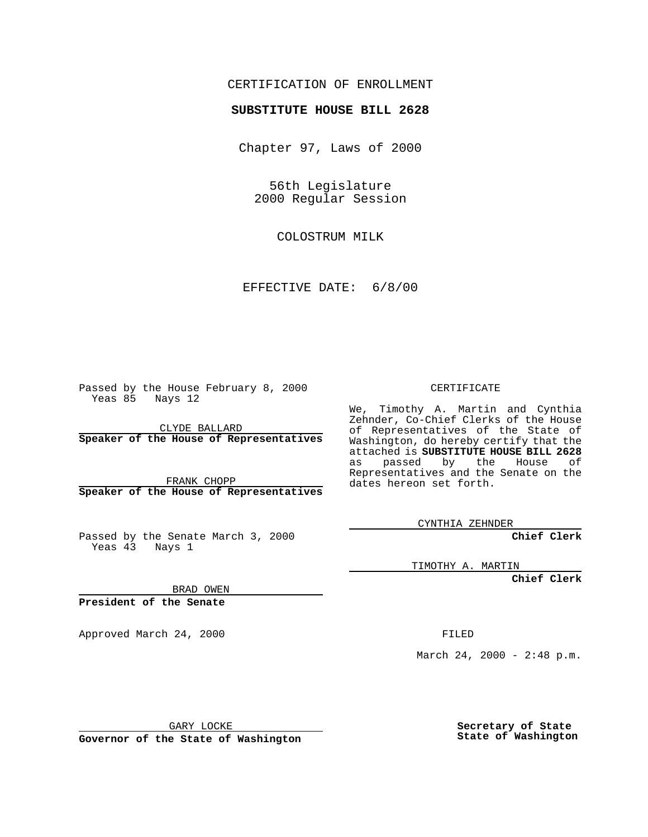## CERTIFICATION OF ENROLLMENT

## **SUBSTITUTE HOUSE BILL 2628**

Chapter 97, Laws of 2000

56th Legislature 2000 Regular Session

COLOSTRUM MILK

EFFECTIVE DATE: 6/8/00

Passed by the House February 8, 2000 Yeas 85 Nays 12

CLYDE BALLARD **Speaker of the House of Representatives**

FRANK CHOPP **Speaker of the House of Representatives**

Passed by the Senate March 3, 2000 Yeas 43 Nays 1

CERTIFICATE

We, Timothy A. Martin and Cynthia Zehnder, Co-Chief Clerks of the House of Representatives of the State of Washington, do hereby certify that the attached is **SUBSTITUTE HOUSE BILL 2628** as passed by the House of Representatives and the Senate on the dates hereon set forth.

CYNTHIA ZEHNDER

**Chief Clerk**

TIMOTHY A. MARTIN

**Chief Clerk**

BRAD OWEN

**President of the Senate**

Approved March 24, 2000 FILED

March 24, 2000 - 2:48 p.m.

GARY LOCKE

**Governor of the State of Washington**

**Secretary of State State of Washington**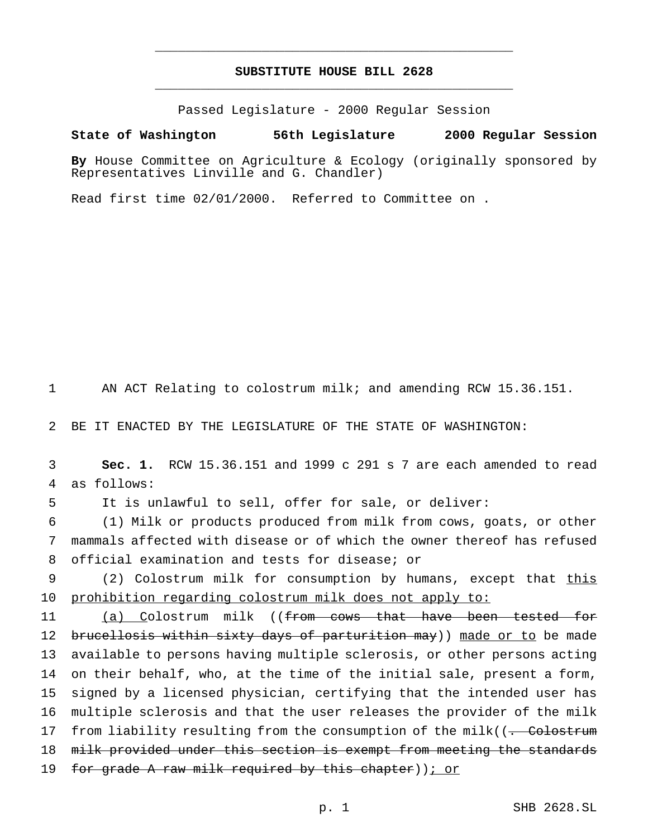## **SUBSTITUTE HOUSE BILL 2628** \_\_\_\_\_\_\_\_\_\_\_\_\_\_\_\_\_\_\_\_\_\_\_\_\_\_\_\_\_\_\_\_\_\_\_\_\_\_\_\_\_\_\_\_\_\_\_

\_\_\_\_\_\_\_\_\_\_\_\_\_\_\_\_\_\_\_\_\_\_\_\_\_\_\_\_\_\_\_\_\_\_\_\_\_\_\_\_\_\_\_\_\_\_\_

Passed Legislature - 2000 Regular Session

## **State of Washington 56th Legislature 2000 Regular Session**

**By** House Committee on Agriculture & Ecology (originally sponsored by Representatives Linville and G. Chandler)

Read first time 02/01/2000. Referred to Committee on .

1 AN ACT Relating to colostrum milk; and amending RCW 15.36.151.

2 BE IT ENACTED BY THE LEGISLATURE OF THE STATE OF WASHINGTON:

3 **Sec. 1.** RCW 15.36.151 and 1999 c 291 s 7 are each amended to read 4 as follows:

5 It is unlawful to sell, offer for sale, or deliver:

6 (1) Milk or products produced from milk from cows, goats, or other 7 mammals affected with disease or of which the owner thereof has refused 8 official examination and tests for disease; or

9 (2) Colostrum milk for consumption by humans, except that this 10 prohibition regarding colostrum milk does not apply to:

11 (a) Colostrum milk ((from cows that have been tested for 12 brucellosis within sixty days of parturition may)) made or to be made 13 available to persons having multiple sclerosis, or other persons acting 14 on their behalf, who, at the time of the initial sale, present a form, 15 signed by a licensed physician, certifying that the intended user has 16 multiple sclerosis and that the user releases the provider of the milk 17 from liability resulting from the consumption of the milk((<del>. Colostrum</del> 18 milk provided under this section is exempt from meeting the standards 19 for grade A raw milk required by this chapter)); or